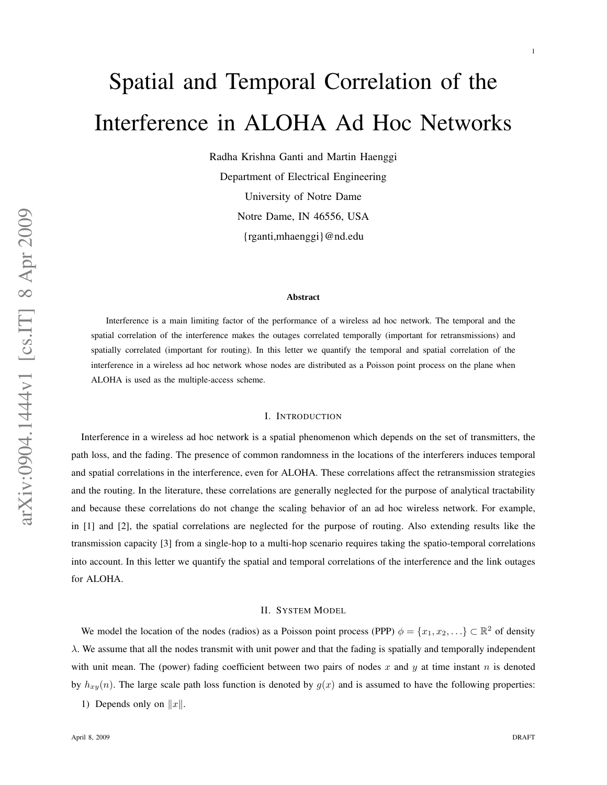# Spatial and Temporal Correlation of the Interference in ALOHA Ad Hoc Networks

Radha Krishna Ganti and Martin Haenggi Department of Electrical Engineering University of Notre Dame Notre Dame, IN 46556, USA {rganti,mhaenggi}@nd.edu

#### **Abstract**

Interference is a main limiting factor of the performance of a wireless ad hoc network. The temporal and the spatial correlation of the interference makes the outages correlated temporally (important for retransmissions) and spatially correlated (important for routing). In this letter we quantify the temporal and spatial correlation of the interference in a wireless ad hoc network whose nodes are distributed as a Poisson point process on the plane when ALOHA is used as the multiple-access scheme.

### I. INTRODUCTION

Interference in a wireless ad hoc network is a spatial phenomenon which depends on the set of transmitters, the path loss, and the fading. The presence of common randomness in the locations of the interferers induces temporal and spatial correlations in the interference, even for ALOHA. These correlations affect the retransmission strategie s and the routing. In the literature, these correlations are generally neglected for the purpose of analytical tractability and because these correlations do not change the scaling behavior of an ad hoc wireless network. For example, in [1] and [2], the spatial correlations are neglected for the purpose of routing. Also extending results like the transmission capacity [3] from a single-hop to a multi-hop scenario requires taking the spatio-temporal correlations into account. In this letter we quantify the spatial and temporal correlations of the interference and the link outages for ALOHA.

### II. SYSTEM MODEL

We model the location of the nodes (radios) as a Poisson point process (PPP)  $\phi = \{x_1, x_2, \ldots\} \subset \mathbb{R}^2$  of density  $\lambda$ . We assume that all the nodes transmit with unit power and that the fading is spatially and temporally independent with unit mean. The (power) fading coefficient between two pairs of nodes x and y at time instant n is denoted by  $h_{xy}(n)$ . The large scale path loss function is denoted by  $g(x)$  and is assumed to have the following properties:

1) Depends only on  $||x||$ .

1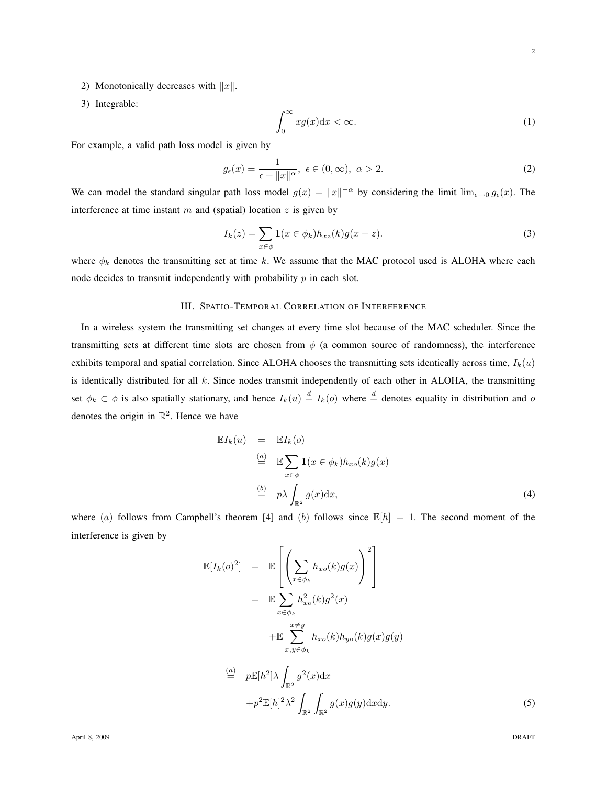- 2) Monotonically decreases with  $||x||$ .
- 3) Integrable:

$$
\int_0^\infty x g(x) \mathrm{d}x < \infty. \tag{1}
$$

For example, a valid path loss model is given by

$$
g_{\epsilon}(x) = \frac{1}{\epsilon + \|x\|^{\alpha}}, \ \epsilon \in (0, \infty), \ \alpha > 2.
$$

We can model the standard singular path loss model  $g(x) = ||x||^{-\alpha}$  by considering the limit  $\lim_{\epsilon \to 0} g_{\epsilon}(x)$ . The interference at time instant  $m$  and (spatial) location  $z$  is given by

$$
I_k(z) = \sum_{x \in \phi} \mathbf{1}(x \in \phi_k) h_{xz}(k) g(x - z).
$$
 (3)

where  $\phi_k$  denotes the transmitting set at time k. We assume that the MAC protocol used is ALOHA where each node decides to transmit independently with probability  $p$  in each slot.

#### III. SPATIO-TEMPORAL CORRELATION OF INTERFERENCE

In a wireless system the transmitting set changes at every time slot because of the MAC scheduler. Since the transmitting sets at different time slots are chosen from  $\phi$  (a common source of randomness), the interference exhibits temporal and spatial correlation. Since ALOHA chooses the transmitting sets identically across time,  $I_k(u)$ is identically distributed for all  $k$ . Since nodes transmit independently of each other in ALOHA, the transmitting set  $\phi_k \subset \phi$  is also spatially stationary, and hence  $I_k(u) \stackrel{d}{=} I_k(o)$  where  $\stackrel{d}{=}$  denotes equality in distribution and o denotes the origin in  $\mathbb{R}^2$ . Hence we have

$$
\mathbb{E}I_k(u) = \mathbb{E}I_k(o)
$$
  
\n
$$
\stackrel{(a)}{=} \mathbb{E} \sum_{x \in \phi} \mathbf{1}(x \in \phi_k) h_{xo}(k) g(x)
$$
  
\n
$$
\stackrel{(b)}{=} p\lambda \int_{\mathbb{R}^2} g(x) dx,
$$
\n(4)

where (a) follows from Campbell's theorem [4] and (b) follows since  $\mathbb{E}[h] = 1$ . The second moment of the interference is given by

F

$$
\mathbb{E}[I_k(o)^2] = \mathbb{E}\left[\left(\sum_{x \in \phi_k} h_{xo}(k)g(x)\right)^2\right]
$$
  
\n
$$
= \mathbb{E}\sum_{x \in \phi_k} h_{xo}^2(k)g^2(x)
$$
  
\n
$$
+ \mathbb{E}\sum_{x,y \in \phi_k}^{x \neq y} h_{xo}(k)h_{yo}(k)g(x)g(y)
$$
  
\n
$$
\stackrel{(a)}{=} p\mathbb{E}[h^2]\lambda \int_{\mathbb{R}^2} g^2(x)dx
$$
  
\n
$$
+ p^2 \mathbb{E}[h]^2 \lambda^2 \int_{\mathbb{R}^2} \int_{\mathbb{R}^2} g(x)g(y)dxdy.
$$
 (5)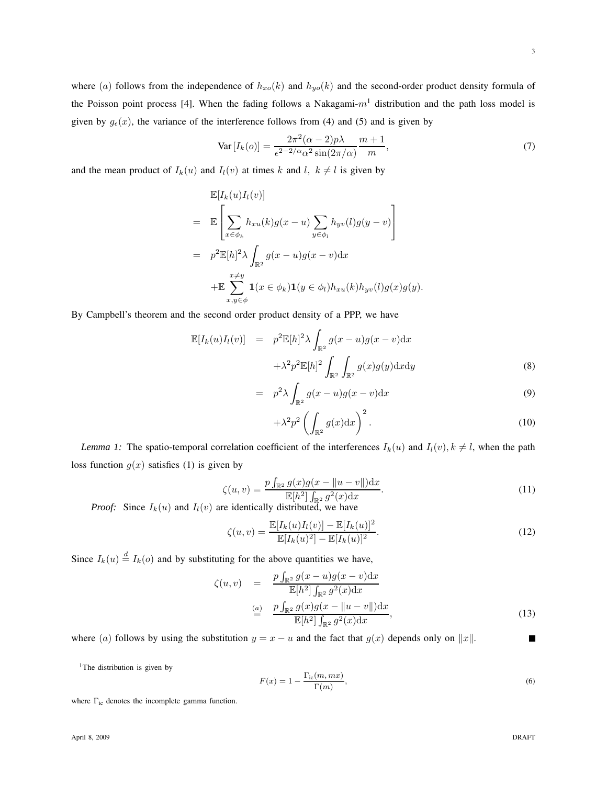where (a) follows from the independence of  $h_{xo}(k)$  and  $h_{yo}(k)$  and the second-order product density formula of the Poisson point process [4]. When the fading follows a Nakagami- $m<sup>1</sup>$  distribution and the path loss model is given by  $g_{\epsilon}(x)$ , the variance of the interference follows from (4) and (5) and is given by

$$
\text{Var}\left[I_k(o)\right] = \frac{2\pi^2(\alpha - 2)p\lambda}{\epsilon^{2 - 2/\alpha}\alpha^2 \sin(2\pi/\alpha)} \frac{m+1}{m},\tag{7}
$$

and the mean product of  $I_k(u)$  and  $I_l(v)$  at times k and l,  $k \neq l$  is given by

$$
\mathbb{E}[I_k(u)I_l(v)]
$$
\n
$$
= \mathbb{E}\left[\sum_{x \in \phi_k} h_{xu}(k)g(x-u)\sum_{y \in \phi_l} h_{yv}(l)g(y-v)\right]
$$
\n
$$
= p^2 \mathbb{E}[h]^2 \lambda \int_{\mathbb{R}^2} g(x-u)g(x-v)dx
$$
\n
$$
+ \mathbb{E}\sum_{x,y \in \phi}^{x \neq y} \mathbf{1}(x \in \phi_k) \mathbf{1}(y \in \phi_l) h_{xu}(k)h_{yv}(l)g(x)g(y).
$$

By Campbell's theorem and the second order product density of a PPP, we have

$$
\mathbb{E}[I_k(u)I_l(v)] = p^2 \mathbb{E}[h]^2 \lambda \int_{\mathbb{R}^2} g(x-u)g(x-v) \mathrm{d}x
$$

$$
+ \lambda^2 p^2 \mathbb{E}[h]^2 \int_{\mathbb{R}^2} \int_{\mathbb{R}^2} g(x)g(y) \mathrm{d}x \mathrm{d}y \tag{8}
$$

$$
= p2 \lambda \int_{\mathbb{R}^2} g(x - u) g(x - v) dx
$$
 (9)

$$
+\lambda^2 p^2 \left(\int_{\mathbb{R}^2} g(x) dx\right)^2.
$$
 (10)

*Lemma 1:* The spatio-temporal correlation coefficient of the interferences  $I_k(u)$  and  $I_l(v)$ ,  $k \neq l$ , when the path loss function  $g(x)$  satisfies (1) is given by

$$
\zeta(u,v) = \frac{p \int_{\mathbb{R}^2} g(x)g(x - \|u - v\|) \mathrm{d}x}{\mathbb{E}[h^2] \int_{\mathbb{R}^2} g^2(x) \mathrm{d}x}.
$$
\n(11)

*Proof:* Since  $I_k(u)$  and  $I_l(v)$  are identically distributed, we have

$$
\zeta(u,v) = \frac{\mathbb{E}[I_k(u)I_l(v)] - \mathbb{E}[I_k(u)]^2}{\mathbb{E}[I_k(u)^2] - \mathbb{E}[I_k(u)]^2}.
$$
\n(12)

Since  $I_k(u) \stackrel{d}{=} I_k(o)$  and by substituting for the above quantities we have,

$$
\zeta(u,v) = \frac{p \int_{\mathbb{R}^2} g(x-u)g(x-v)dx}{\mathbb{E}[h^2] \int_{\mathbb{R}^2} g^2(x)dx}
$$

$$
\stackrel{\text{(a)}}{=} \frac{p \int_{\mathbb{R}^2} g(x)g(x-\|u-v\|)dx}{\mathbb{E}[h^2] \int_{\mathbb{R}^2} g^2(x)dx},
$$
(13)

where (a) follows by using the substitution  $y = x - u$  and the fact that  $g(x)$  depends only on  $||x||$ .

<sup>1</sup>The distribution is given by

$$
F(x) = 1 - \frac{\Gamma_{\text{ic}}(m, mx)}{\Gamma(m)},
$$
\n(6)

where Γ<sub>ic</sub> denotes the incomplete gamma function.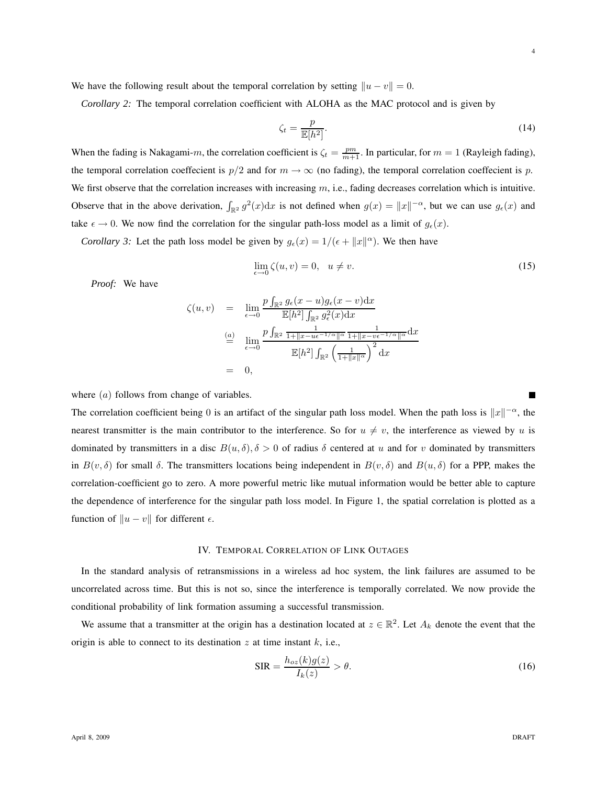We have the following result about the temporal correlation by setting  $||u - v|| = 0$ .

*Corollary 2:* The temporal correlation coefficient with ALOHA as the MAC protocol and is given by

$$
\zeta_t = \frac{p}{\mathbb{E}[h^2]}.\tag{14}
$$

When the fading is Nakagami-m, the correlation coefficient is  $\zeta_t = \frac{pm}{m+1}$ . In particular, for  $m = 1$  (Rayleigh fading), the temporal correlation coeffecient is  $p/2$  and for  $m \to \infty$  (no fading), the temporal correlation coeffecient is p. We first observe that the correlation increases with increasing  $m$ , i.e., fading decreases correlation which is intuitive. Observe that in the above derivation,  $\int_{\mathbb{R}^2} g^2(x) dx$  is not defined when  $g(x) = ||x||^{-\alpha}$ , but we can use  $g_\epsilon(x)$  and take  $\epsilon \to 0$ . We now find the correlation for the singular path-loss model as a limit of  $g_{\epsilon}(x)$ .

*Corollary 3:* Let the path loss model be given by  $g_{\epsilon}(x) = 1/(\epsilon + ||x||^{\alpha})$ . We then have

$$
\lim_{\epsilon \to 0} \zeta(u, v) = 0, \quad u \neq v. \tag{15}
$$

*Proof:* We have

$$
\zeta(u,v) = \lim_{\epsilon \to 0} \frac{p \int_{\mathbb{R}^2} g_{\epsilon}(x-u) g_{\epsilon}(x-v) dx}{\mathbb{E}[h^2] \int_{\mathbb{R}^2} g_{\epsilon}^2(x) dx}
$$

$$
\stackrel{(a)}{=} \lim_{\epsilon \to 0} \frac{p \int_{\mathbb{R}^2} \frac{1}{1 + ||x - ue^{-1/\alpha}||^{\alpha}} \frac{1}{1 + ||x - ve^{-1/\alpha}||^{\alpha}} dx}{\mathbb{E}[h^2] \int_{\mathbb{R}^2} \left(\frac{1}{1 + ||x||^{\alpha}}\right)^2 dx}
$$

$$
= 0,
$$

where (*a*) follows from change of variables.

The correlation coefficient being 0 is an artifact of the singular path loss model. When the path loss is  $||x||^{-\alpha}$ , the nearest transmitter is the main contributor to the interference. So for  $u \neq v$ , the interference as viewed by u is dominated by transmitters in a disc  $B(u, \delta), \delta > 0$  of radius  $\delta$  centered at u and for v dominated by transmitters in  $B(v, \delta)$  for small  $\delta$ . The transmitters locations being independent in  $B(v, \delta)$  and  $B(u, \delta)$  for a PPP, makes the correlation-coefficient go to zero. A more powerful metric like mutual information would be better able to capture the dependence of interference for the singular path loss model. In Figure 1, the spatial correlation is plotted as a function of  $||u - v||$  for different  $\epsilon$ .

#### IV. TEMPORAL CORRELATION OF LINK OUTAGES

In the standard analysis of retransmissions in a wireless ad hoc system, the link failures are assumed to be uncorrelated across time. But this is not so, since the interference is temporally correlated. We now provide the conditional probability of link formation assuming a successful transmission.

We assume that a transmitter at the origin has a destination located at  $z \in \mathbb{R}^2$ . Let  $A_k$  denote the event that the origin is able to connect to its destination  $z$  at time instant  $k$ , i.e.,

$$
SIR = \frac{h_{oz}(k)g(z)}{I_k(z)} > \theta.
$$
\n(16)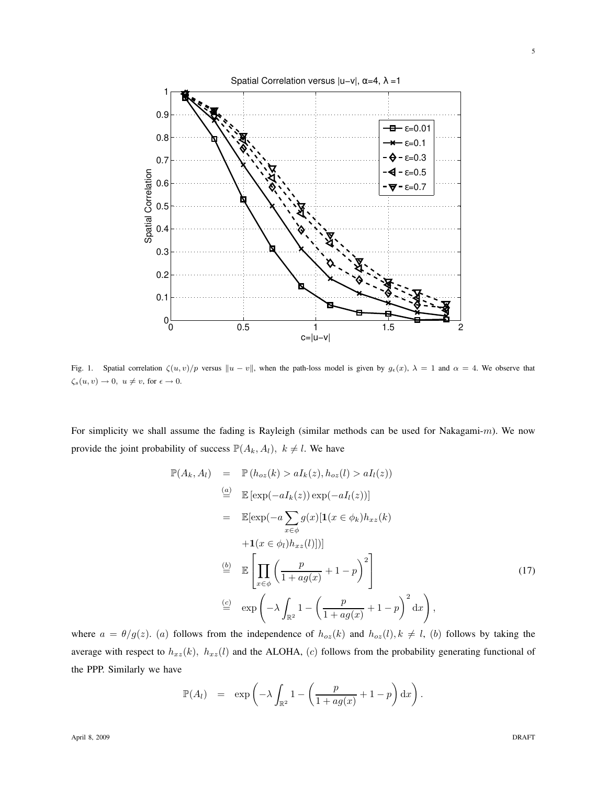

Fig. 1. Spatial correlation  $\zeta(u, v)/p$  versus  $||u - v||$ , when the path-loss model is given by  $g_{\epsilon}(x)$ ,  $\lambda = 1$  and  $\alpha = 4$ . We observe that  $\zeta_s(u, v) \to 0, u \neq v$ , for  $\epsilon \to 0$ .

For simplicity we shall assume the fading is Rayleigh (similar methods can be used for Nakagami-m). We now provide the joint probability of success  $\mathbb{P}(A_k, A_l)$ ,  $k \neq l$ . We have

$$
\mathbb{P}(A_k, A_l) = \mathbb{P}(h_{oz}(k) > aI_k(z), h_{oz}(l) > aI_l(z))
$$
  
\n
$$
\stackrel{(a)}{=} \mathbb{E}[\exp(-aI_k(z)) \exp(-aI_l(z))]
$$
  
\n
$$
= \mathbb{E}[\exp(-a\sum_{x \in \phi} g(x)[1(x \in \phi_k)h_{xz}(k) + 1(x \in \phi_l)h_{xz}(l)])]
$$
  
\n
$$
\stackrel{(b)}{=} \mathbb{E}\left[\prod_{x \in \phi} \left(\frac{p}{1 + ag(x)} + 1 - p\right)^2\right]
$$
  
\n
$$
\stackrel{(c)}{=} \exp\left(-\lambda \int_{\mathbb{R}^2} 1 - \left(\frac{p}{1 + ag(x)} + 1 - p\right)^2 dx\right),
$$
  
\n(17)

where  $a = \theta/g(z)$ . (a) follows from the independence of  $h_{oz}(k)$  and  $h_{oz}(l)$ ,  $k \neq l$ , (b) follows by taking the average with respect to  $h_{xz}(k)$ ,  $h_{xz}(l)$  and the ALOHA, (c) follows from the probability generating functional of the PPP. Similarly we have

$$
\mathbb{P}(A_l) = \exp\left(-\lambda \int_{\mathbb{R}^2} 1 - \left(\frac{p}{1 + ag(x)} + 1 - p\right) dx\right).
$$

5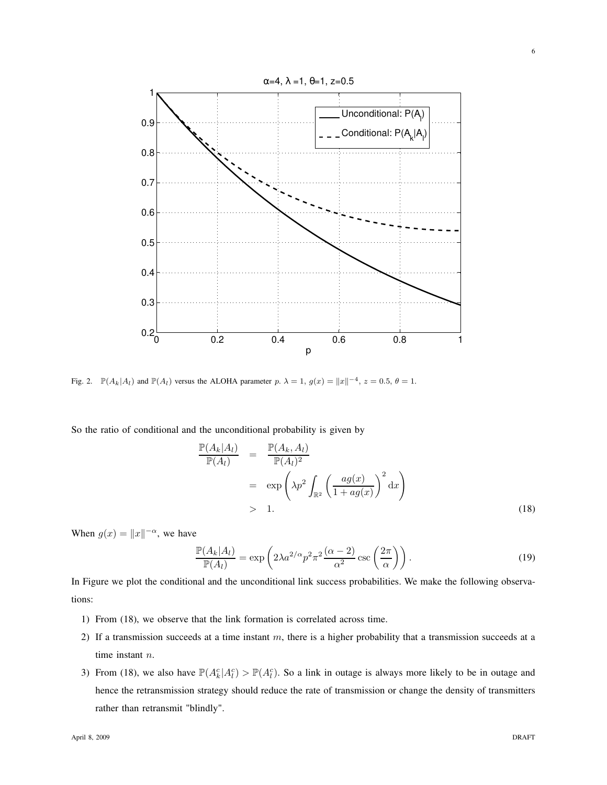

Fig. 2.  $\mathbb{P}(A_k|A_l)$  and  $\mathbb{P}(A_l)$  versus the ALOHA parameter p.  $\lambda = 1$ ,  $g(x) = ||x||^{-4}$ ,  $z = 0.5$ ,  $\theta = 1$ .

So the ratio of conditional and the unconditional probability is given by

$$
\frac{\mathbb{P}(A_k|A_l)}{\mathbb{P}(A_l)} = \frac{\mathbb{P}(A_k, A_l)}{\mathbb{P}(A_l)^2}
$$
\n
$$
= \exp\left(\lambda p^2 \int_{\mathbb{R}^2} \left(\frac{ag(x)}{1 + ag(x)}\right)^2 dx\right)
$$
\n
$$
> 1.
$$
\n(18)

When  $g(x) = ||x||^{-\alpha}$ , we have

$$
\frac{\mathbb{P}(A_k|A_l)}{\mathbb{P}(A_l)} = \exp\left(2\lambda a^{2/\alpha} p^2 \pi^2 \frac{(\alpha - 2)}{\alpha^2} \csc\left(\frac{2\pi}{\alpha}\right)\right).
$$
\n(19)

In Figure we plot the conditional and the unconditional link success probabilities. We make the following observations:

- 1) From (18), we observe that the link formation is correlated across time.
- 2) If a transmission succeeds at a time instant  $m$ , there is a higher probability that a transmission succeeds at a time instant n.
- 3) From (18), we also have  $\mathbb{P}(A_k^c | A_l^c) > \mathbb{P}(A_l^c)$ . So a link in outage is always more likely to be in outage and hence the retransmission strategy should reduce the rate of transmission or change the density of transmitters rather than retransmit "blindly".

6